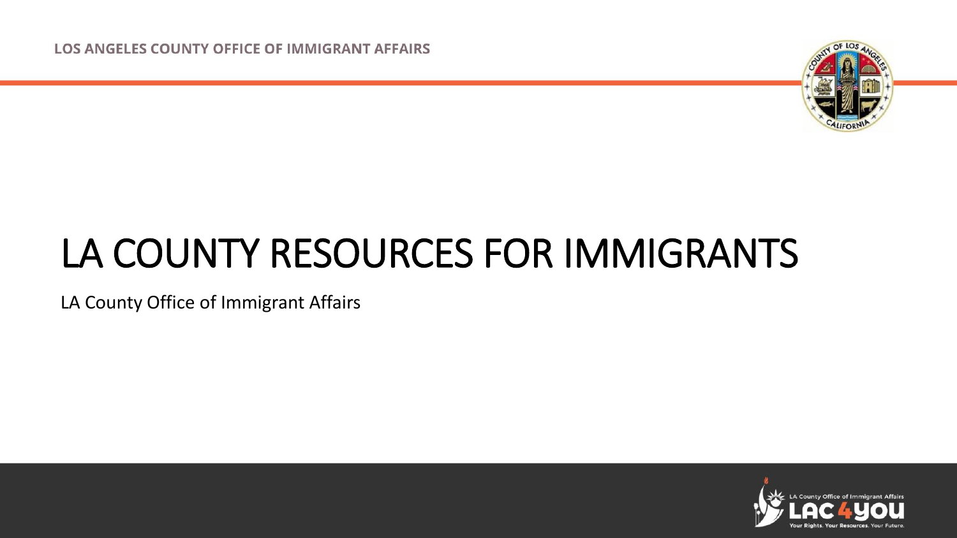**LOS ANGELES COUNTY OFFICE OF IMMIGRANT AFFAIRS** 



#### LA COUNTY RESOURCES FOR IMMIGRANTS

LA County Office of Immigrant Affairs

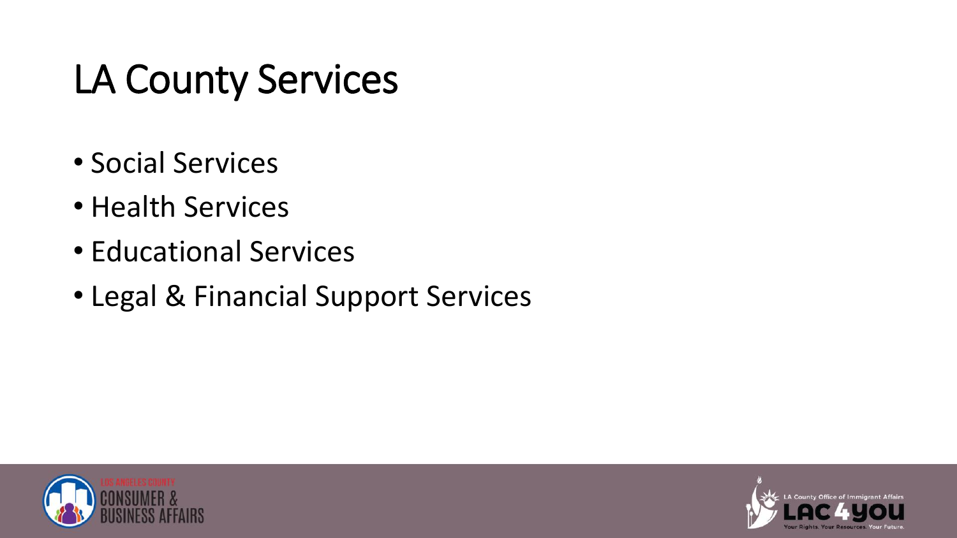# LA County Services

- Social Services
- Health Services
- Educational Services
- Legal & Financial Support Services



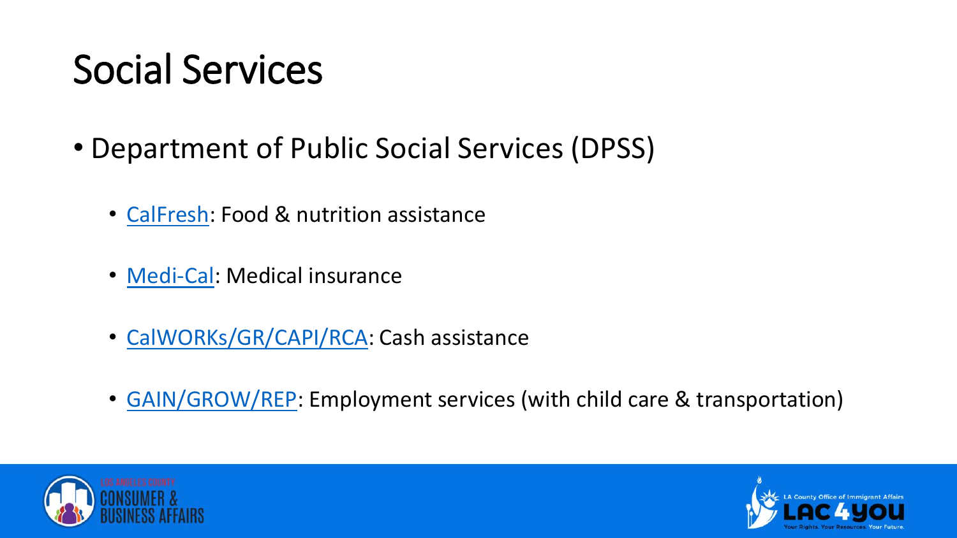# Social Services

- Department of Public Social Services (DPSS)
	- [CalFresh](https://dpss.lacounty.gov/en/food.html): Food & nutrition assistance
	- [Medi-Cal](https://dpss.lacounty.gov/en/health.html): Medical insurance
	- [CalWORKs/GR/CAPI/RCA](https://dpss.lacounty.gov/en/cash.html): Cash assistance
	- [GAIN/GROW/REP](https://dpss.lacounty.gov/en/jobs.html): Employment services (with child care & transportation)



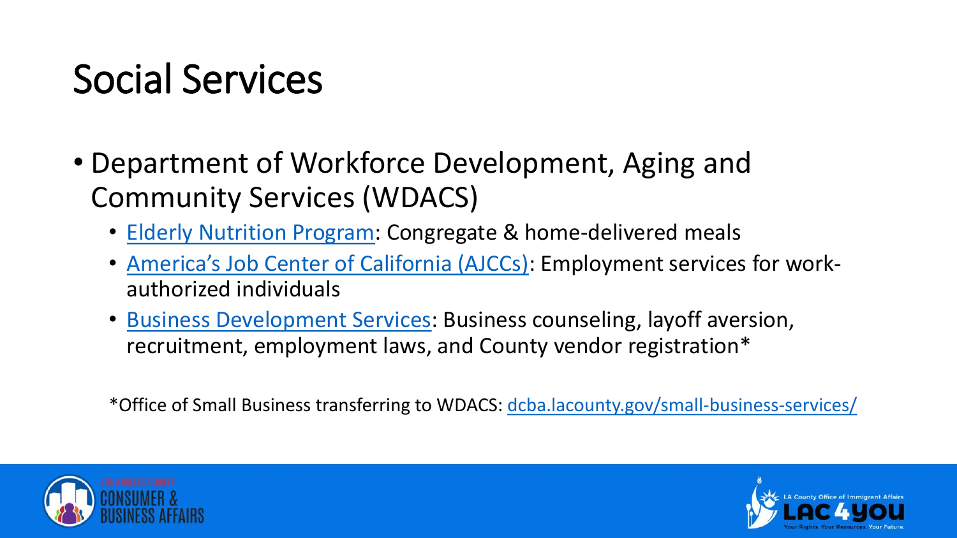## Social Services

- Department of Workforce Development, Aging and Community Services (WDACS)
	- [Elderly Nutrition Program](https://wdacs.lacounty.gov/services/older-dependent-adult-services/): Congregate & home-delivered meals
	- [America's Job Center of California \(AJCCs\)](https://workforce.lacounty.gov/): Employment services for workauthorized individuals
	- [Business Development Services](https://wdacs.lacounty.gov/services/business-development-services/): Business counseling, layoff aversion, recruitment, employment laws, and County vendor registration\*

\*Office of Small Business transferring to WDACS: [dcba.lacounty.gov/small-business-services/](https://dcba.lacounty.gov/small-business-services/)



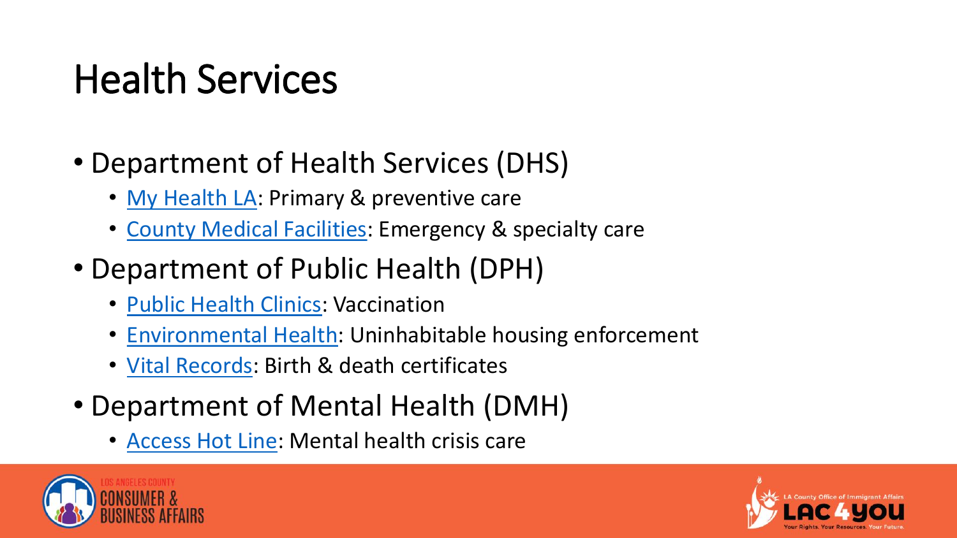### Health Services

- Department of Health Services (DHS)
	- [My Health LA](https://dhs.lacounty.gov/my-health-la/): Primary & preventive care
	- [County Medical Facilities](https://dhs.lacounty.gov/our-locations/): Emergency & specialty care
- Department of Public Health (DPH)
	- [Public Health Clinics:](http://publichealth.lacounty.gov/chs/phcenters.htm) Vaccination
	- [Environmental Health](http://www.publichealth.lacounty.gov/eh/): Uninhabitable housing enforcement
	- [Vital Records:](http://www.ph.lacounty.gov/DCA/) Birth & death certificates
- Department of Mental Health (DMH)
	- [Access Hot Line:](https://dmh.lacounty.gov/get-help-now/) Mental health crisis care



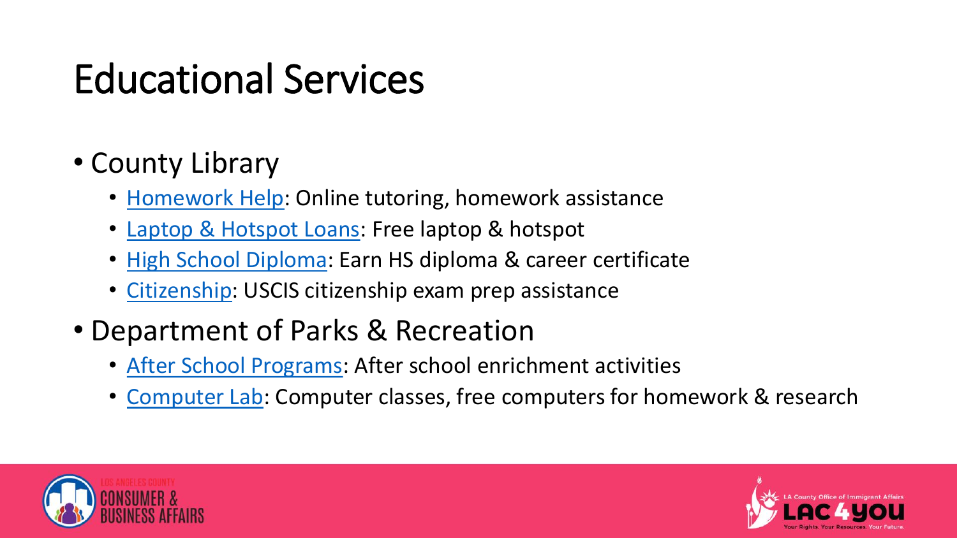# Educational Services

- County Library
	- [Homework Help](https://lacountylibrary.org/homework/): Online tutoring, homework assistance
	- [Laptop & Hotspot Loans](https://lacountylibrary.org/laptop/): Free laptop & hotspot
	- [High School Diploma:](https://lacountylibrary.org/diploma/) Earn HS diploma & career certificate
	- [Citizenship:](https://lacountylibrary.org/citizenship/) USCIS citizenship exam prep assistance
- Department of Parks & Recreation
	- [After School Programs](https://parks.lacounty.gov/kids-family/?row=1#afterSchoolProgramsColumn): After school enrichment activities
	- [Computer Lab:](https://parks.lacounty.gov/recreation-activities/?row=3#computerLabsColumn) Computer classes, free computers for homework & research



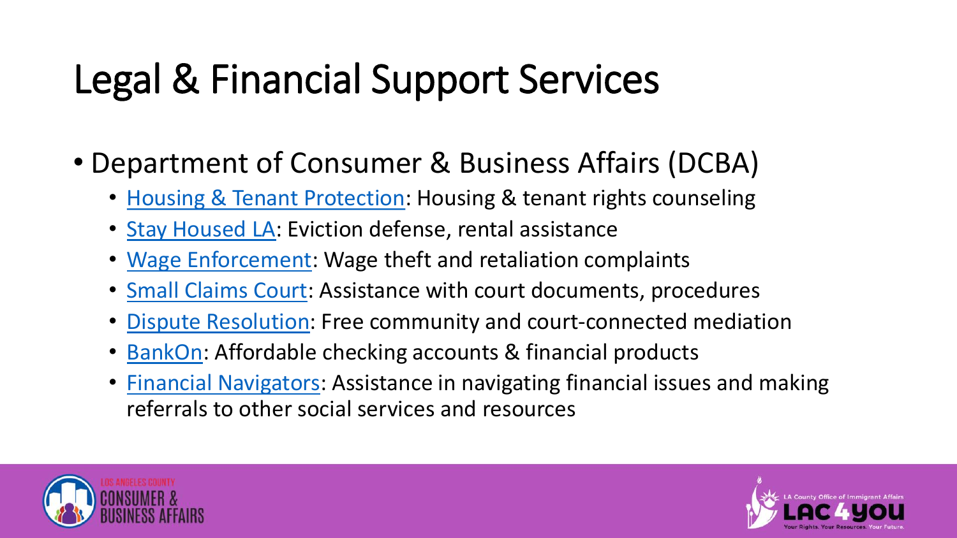# Legal & Financial Support Services

- Department of Consumer & Business Affairs (DCBA)
	- [Housing & Tenant Protection:](https://dcba.lacounty.gov/rentstabilization/) Housing & tenant rights counseling
	- [Stay Housed LA:](https://www.stayhousedla.org/) Eviction defense, rental assistance
	- [Wage Enforcement](https://dcba.lacounty.gov/minimum-wage/): Wage theft and retaliation complaints
	- [Small Claims Court:](https://dcba.lacounty.gov/small-claims/) Assistance with court documents, procedures
	- [Dispute Resolution:](https://dcba.lacounty.gov/mediation/) Free community and court-connected mediation
	- [BankOn:](https://dcba.lacounty.gov/bankon/) Affordable checking accounts & financial products
	- [Financial Navigators](https://dcba.lacounty.gov/financial-navigators/): Assistance in navigating financial issues and making referrals to other social services and resources